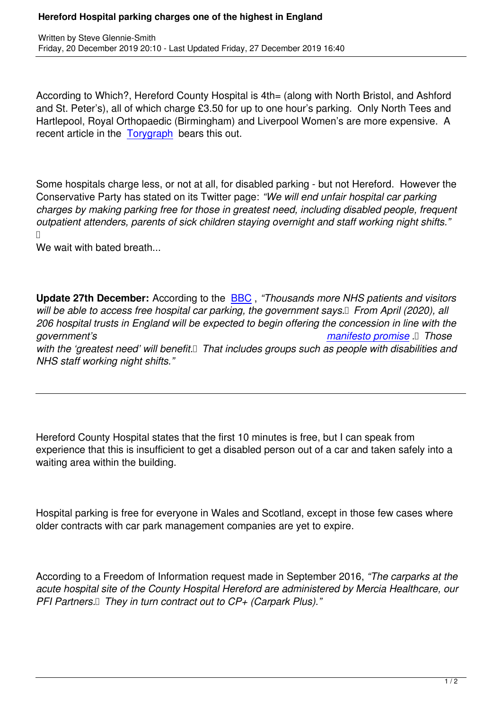According to Which?, Hereford County Hospital is 4th= (along with North Bristol, and Ashford and St. Peter's), all of which charge £3.50 for up to one hour's parking. Only North Tees and Hartlepool, Royal Orthopaedic (Birmingham) and Liverpool Women's are more expensive. A recent article in the Torygraph bears this out.

Some hospitals cha[rge less, or](https://www.telegraph.co.uk/news/2019/12/10/rip-off-hospital-parking-charges-top-250m-year-relatives-charged/) not at all, for disabled parking - but not Hereford. However the Conservative Party has stated on its Twitter page: *"We will end unfair hospital car parking charges by making parking free for those in greatest need, including disabled people, frequent outpatient attenders, parents of sick children staying overnight and staff working night shifts."*  $\Box$ 

We wait with bated breath...

**Update 27th December:** According to the BBC , *"Thousands more NHS patients and visitors will be able to access free hospital car parking, the government says. From April (2020), all 206 hospital trusts in England will be expected to begin offering the concession in line with the* **government's** and *government's* and *government's* and *government's* and *manifesto promise* **.** Those with the 'greatest need' will benefit. That includes groups such as people with disabilities and *NHS staff working night shifts."*

Hereford County Hospital states that the first 10 minutes is free, but I can speak from experience that this is insufficient to get a disabled person out of a car and taken safely into a waiting area within the building.

Hospital parking is free for everyone in Wales and Scotland, except in those few cases where older contracts with car park management companies are yet to expire.

According to a Freedom of Information request made in September 2016, *"The carparks at the acute hospital site of the County Hospital Hereford are administered by Mercia Healthcare, our* **PFI Partners.** They in turn contract out to CP+ (Carpark Plus)."